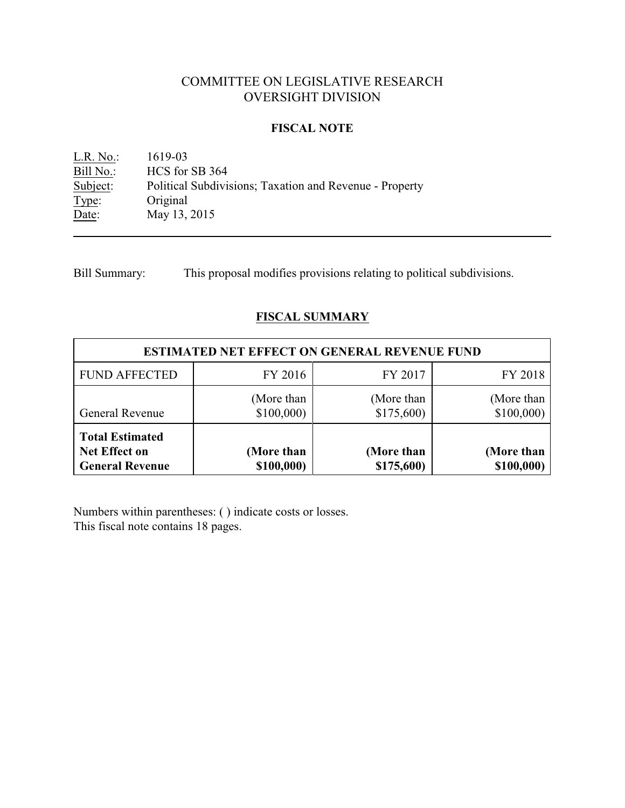# COMMITTEE ON LEGISLATIVE RESEARCH OVERSIGHT DIVISION

# **FISCAL NOTE**

L.R. No.: 1619-03<br>Bill No.: HCS for **Bill No.:** HCS for SB 364<br>Subject: Political Subdivi Political Subdivisions; Taxation and Revenue - Property Type: Original Date: May 13, 2015

Bill Summary: This proposal modifies provisions relating to political subdivisions.

# **FISCAL SUMMARY**

| <b>ESTIMATED NET EFFECT ON GENERAL REVENUE FUND</b>               |                          |                          |                          |  |
|-------------------------------------------------------------------|--------------------------|--------------------------|--------------------------|--|
| <b>FUND AFFECTED</b>                                              | FY 2016                  | FY 2017                  | FY 2018                  |  |
| General Revenue                                                   | (More than)<br>\$100,000 | (More than<br>\$175,600  | (More than<br>\$100,000  |  |
| <b>Total Estimated</b><br>Net Effect on<br><b>General Revenue</b> | (More than<br>\$100,000) | (More than<br>\$175,600) | (More than<br>\$100,000) |  |

Numbers within parentheses: ( ) indicate costs or losses. This fiscal note contains 18 pages.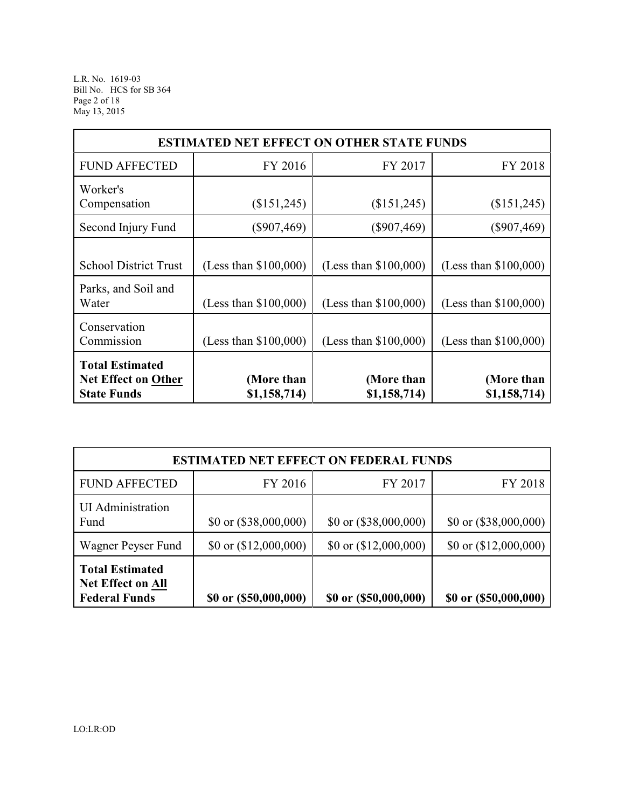L.R. No. 1619-03 Bill No. HCS for SB 364 Page 2 of 18 May 13, 2015

| <b>ESTIMATED NET EFFECT ON OTHER STATE FUNDS</b>                           |                                                  |                                                    |                                                  |  |  |
|----------------------------------------------------------------------------|--------------------------------------------------|----------------------------------------------------|--------------------------------------------------|--|--|
| <b>FUND AFFECTED</b>                                                       | FY 2016                                          | FY 2017                                            | FY 2018                                          |  |  |
| Worker's<br>Compensation                                                   | (\$151,245)                                      | (\$151,245)                                        | (\$151,245)                                      |  |  |
| Second Injury Fund                                                         | $(\$907,469)$                                    | $(\$907,469)$                                      | $(\$907,469)$                                    |  |  |
| <b>School District Trust</b><br>Parks, and Soil and<br>Water               | (Less than \$100,000)<br>(Less than $$100,000$ ) | (Less than $$100,000$ )<br>(Less than $$100,000$ ) | (Less than \$100,000)<br>(Less than $$100,000$ ) |  |  |
| Conservation<br>Commission                                                 | (Less than $$100,000$ )                          | (Less than $$100,000$ )                            | (Less than \$100,000)                            |  |  |
| <b>Total Estimated</b><br><b>Net Effect on Other</b><br><b>State Funds</b> | (More than<br>\$1,158,714)                       | (More than<br>\$1,158,714)                         | (More than<br>\$1,158,714)                       |  |  |

| <b>ESTIMATED NET EFFECT ON FEDERAL FUNDS</b>                               |                         |                                |                                |  |
|----------------------------------------------------------------------------|-------------------------|--------------------------------|--------------------------------|--|
| <b>FUND AFFECTED</b>                                                       | FY 2016                 | FY 2017                        | FY 2018                        |  |
| <b>UI</b> Administration<br>Fund                                           | \$0 or $(\$38,000,000)$ | $$0 \text{ or } ($38,000,000)$ | $$0 \text{ or } ($38,000,000)$ |  |
| Wagner Peyser Fund                                                         | \$0 or $(12,000,000)$   | \$0 or $(\$12,000,000)$        | \$0 or $(\$12,000,000)$        |  |
| <b>Total Estimated</b><br><b>Net Effect on All</b><br><b>Federal Funds</b> | \$0 or (\$50,000,000)   | \$0 or (\$50,000,000)          | \$0 or (\$50,000,000)          |  |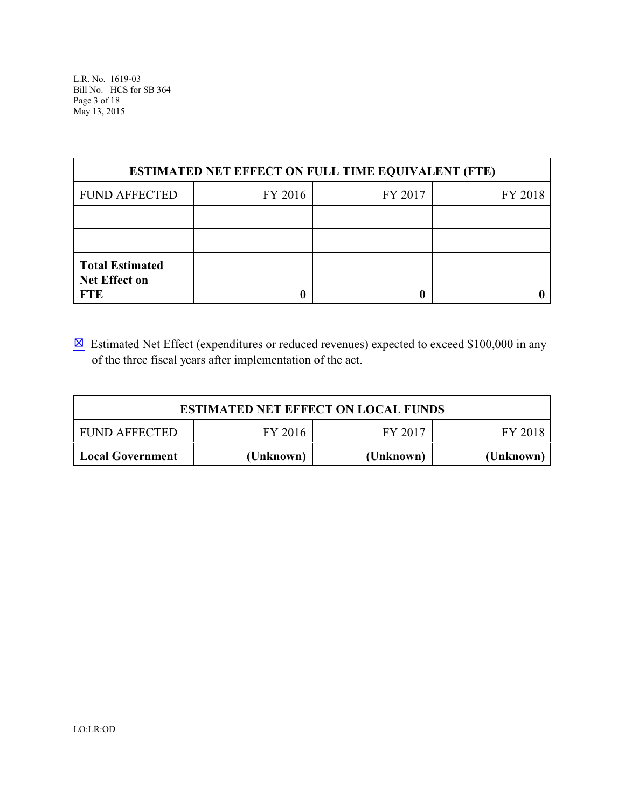L.R. No. 1619-03 Bill No. HCS for SB 364 Page 3 of 18 May 13, 2015

| <b>ESTIMATED NET EFFECT ON FULL TIME EQUIVALENT (FTE)</b>    |         |         |         |  |  |
|--------------------------------------------------------------|---------|---------|---------|--|--|
| <b>FUND AFFECTED</b>                                         | FY 2016 | FY 2017 | FY 2018 |  |  |
|                                                              |         |         |         |  |  |
|                                                              |         |         |         |  |  |
| <b>Total Estimated</b><br><b>Net Effect on</b><br><b>FTE</b> |         |         |         |  |  |

 $\boxtimes$  Estimated Net Effect (expenditures or reduced revenues) expected to exceed \$100,000 in any of the three fiscal years after implementation of the act.

| <b>ESTIMATED NET EFFECT ON LOCAL FUNDS</b> |           |           |           |  |
|--------------------------------------------|-----------|-----------|-----------|--|
| <b>FUND AFFECTED</b>                       | FY 2016   | FY 2017   | FY 2018   |  |
| <b>Local Government</b>                    | (Unknown) | (Unknown) | (Unknown) |  |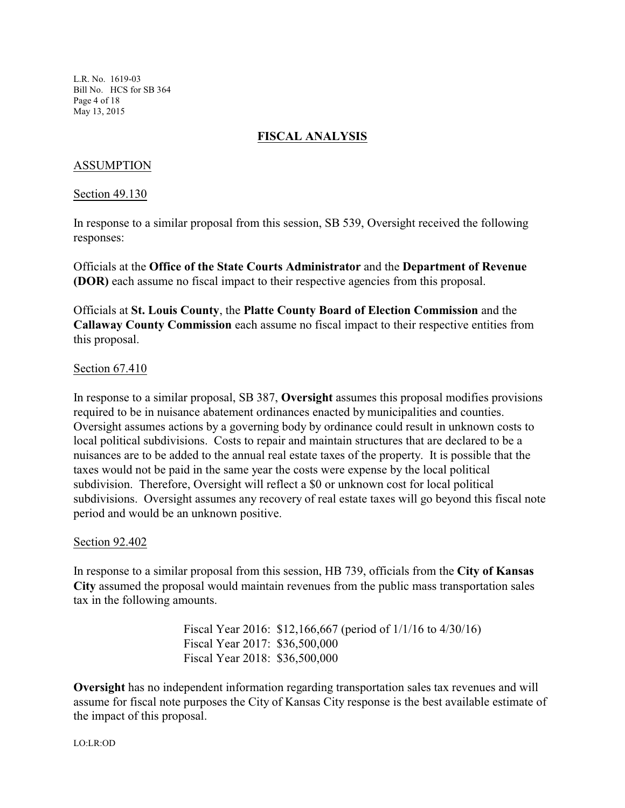L.R. No. 1619-03 Bill No. HCS for SB 364 Page 4 of 18 May 13, 2015

# **FISCAL ANALYSIS**

#### ASSUMPTION

Section 49.130

In response to a similar proposal from this session, SB 539, Oversight received the following responses:

Officials at the **Office of the State Courts Administrator** and the **Department of Revenue (DOR)** each assume no fiscal impact to their respective agencies from this proposal.

Officials at **St. Louis County**, the **Platte County Board of Election Commission** and the **Callaway County Commission** each assume no fiscal impact to their respective entities from this proposal.

#### Section 67.410

In response to a similar proposal, SB 387, **Oversight** assumes this proposal modifies provisions required to be in nuisance abatement ordinances enacted by municipalities and counties. Oversight assumes actions by a governing body by ordinance could result in unknown costs to local political subdivisions. Costs to repair and maintain structures that are declared to be a nuisances are to be added to the annual real estate taxes of the property. It is possible that the taxes would not be paid in the same year the costs were expense by the local political subdivision. Therefore, Oversight will reflect a \$0 or unknown cost for local political subdivisions. Oversight assumes any recovery of real estate taxes will go beyond this fiscal note period and would be an unknown positive.

#### Section 92.402

In response to a similar proposal from this session, HB 739, officials from the **City of Kansas City** assumed the proposal would maintain revenues from the public mass transportation sales tax in the following amounts.

> Fiscal Year 2016: \$12,166,667 (period of 1/1/16 to 4/30/16) Fiscal Year 2017: \$36,500,000 Fiscal Year 2018: \$36,500,000

**Oversight** has no independent information regarding transportation sales tax revenues and will assume for fiscal note purposes the City of Kansas City response is the best available estimate of the impact of this proposal.

LO:LR:OD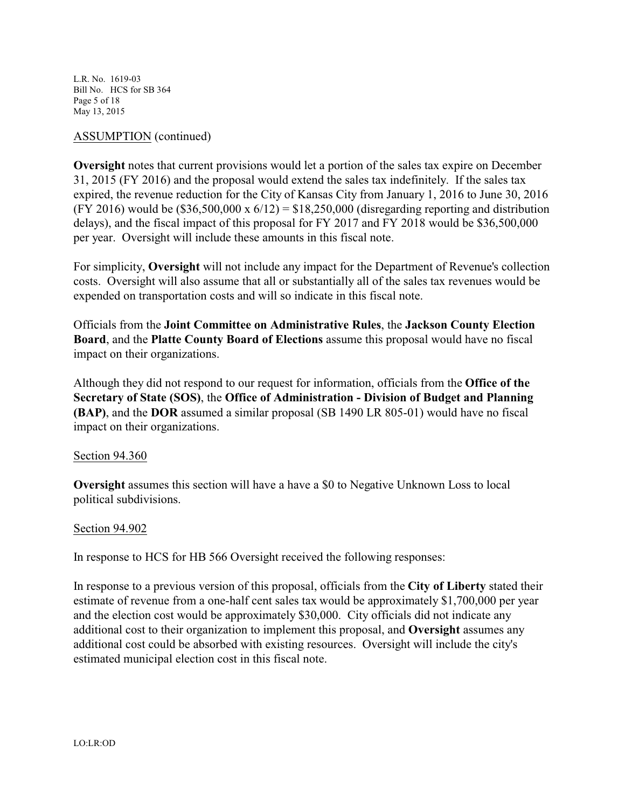L.R. No. 1619-03 Bill No. HCS for SB 364 Page 5 of 18 May 13, 2015

# ASSUMPTION (continued)

**Oversight** notes that current provisions would let a portion of the sales tax expire on December 31, 2015 (FY 2016) and the proposal would extend the sales tax indefinitely. If the sales tax expired, the revenue reduction for the City of Kansas City from January 1, 2016 to June 30, 2016 (FY 2016) would be  $(\$36,500,000 \times 6/12) = \$18,250,000$  (disregarding reporting and distribution delays), and the fiscal impact of this proposal for FY 2017 and FY 2018 would be \$36,500,000 per year. Oversight will include these amounts in this fiscal note.

For simplicity, **Oversight** will not include any impact for the Department of Revenue's collection costs. Oversight will also assume that all or substantially all of the sales tax revenues would be expended on transportation costs and will so indicate in this fiscal note.

Officials from the **Joint Committee on Administrative Rules**, the **Jackson County Election Board**, and the **Platte County Board of Elections** assume this proposal would have no fiscal impact on their organizations.

Although they did not respond to our request for information, officials from the **Office of the Secretary of State (SOS)**, the **Office of Administration - Division of Budget and Planning (BAP)**, and the **DOR** assumed a similar proposal (SB 1490 LR 805-01) would have no fiscal impact on their organizations.

#### Section 94.360

**Oversight** assumes this section will have a have a \$0 to Negative Unknown Loss to local political subdivisions.

#### Section 94.902

In response to HCS for HB 566 Oversight received the following responses:

In response to a previous version of this proposal, officials from the **City of Liberty** stated their estimate of revenue from a one-half cent sales tax would be approximately \$1,700,000 per year and the election cost would be approximately \$30,000. City officials did not indicate any additional cost to their organization to implement this proposal, and **Oversight** assumes any additional cost could be absorbed with existing resources. Oversight will include the city's estimated municipal election cost in this fiscal note.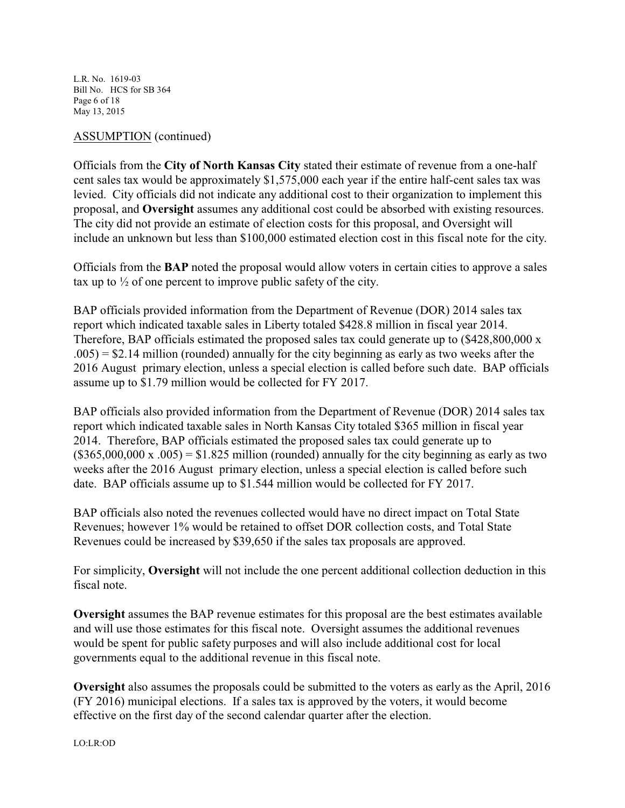L.R. No. 1619-03 Bill No. HCS for SB 364 Page 6 of 18 May 13, 2015

# ASSUMPTION (continued)

Officials from the **City of North Kansas City** stated their estimate of revenue from a one-half cent sales tax would be approximately \$1,575,000 each year if the entire half-cent sales tax was levied. City officials did not indicate any additional cost to their organization to implement this proposal, and **Oversight** assumes any additional cost could be absorbed with existing resources. The city did not provide an estimate of election costs for this proposal, and Oversight will include an unknown but less than \$100,000 estimated election cost in this fiscal note for the city.

Officials from the **BAP** noted the proposal would allow voters in certain cities to approve a sales tax up to  $\frac{1}{2}$  of one percent to improve public safety of the city.

BAP officials provided information from the Department of Revenue (DOR) 2014 sales tax report which indicated taxable sales in Liberty totaled \$428.8 million in fiscal year 2014. Therefore, BAP officials estimated the proposed sales tax could generate up to (\$428,800,000 x  $.005$ ) = \$2.14 million (rounded) annually for the city beginning as early as two weeks after the 2016 August primary election, unless a special election is called before such date. BAP officials assume up to \$1.79 million would be collected for FY 2017.

BAP officials also provided information from the Department of Revenue (DOR) 2014 sales tax report which indicated taxable sales in North Kansas City totaled \$365 million in fiscal year 2014. Therefore, BAP officials estimated the proposed sales tax could generate up to  $($365,000,000 \times .005) = $1.825 \text{ million (rounded) annually for the city beginning as early as two)}$ weeks after the 2016 August primary election, unless a special election is called before such date. BAP officials assume up to \$1.544 million would be collected for FY 2017.

BAP officials also noted the revenues collected would have no direct impact on Total State Revenues; however 1% would be retained to offset DOR collection costs, and Total State Revenues could be increased by \$39,650 if the sales tax proposals are approved.

For simplicity, **Oversight** will not include the one percent additional collection deduction in this fiscal note.

**Oversight** assumes the BAP revenue estimates for this proposal are the best estimates available and will use those estimates for this fiscal note. Oversight assumes the additional revenues would be spent for public safety purposes and will also include additional cost for local governments equal to the additional revenue in this fiscal note.

**Oversight** also assumes the proposals could be submitted to the voters as early as the April, 2016 (FY 2016) municipal elections. If a sales tax is approved by the voters, it would become effective on the first day of the second calendar quarter after the election.

LO:LR:OD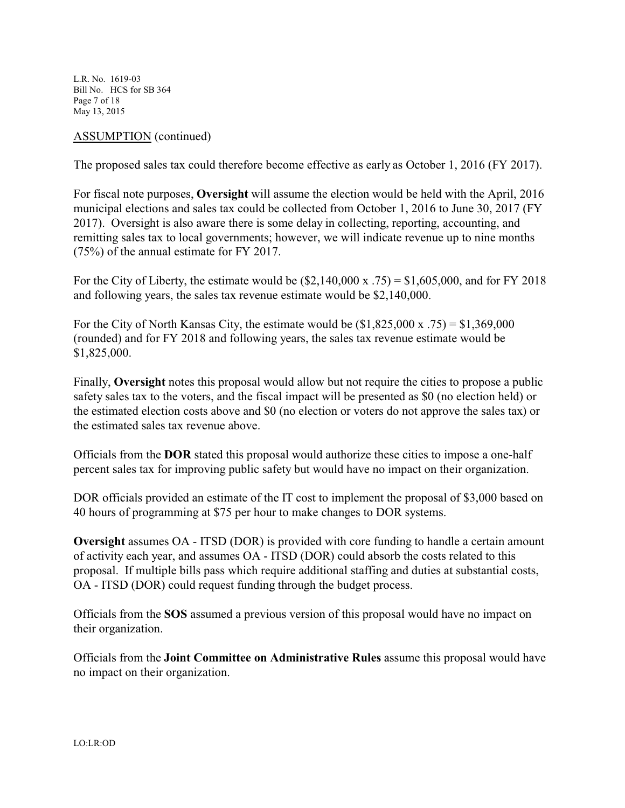L.R. No. 1619-03 Bill No. HCS for SB 364 Page 7 of 18 May 13, 2015

#### ASSUMPTION (continued)

The proposed sales tax could therefore become effective as early as October 1, 2016 (FY 2017).

For fiscal note purposes, **Oversight** will assume the election would be held with the April, 2016 municipal elections and sales tax could be collected from October 1, 2016 to June 30, 2017 (FY 2017). Oversight is also aware there is some delay in collecting, reporting, accounting, and remitting sales tax to local governments; however, we will indicate revenue up to nine months (75%) of the annual estimate for FY 2017.

For the City of Liberty, the estimate would be  $(\$2,140,000 \times .75) = \$1,605,000$ , and for FY 2018 and following years, the sales tax revenue estimate would be \$2,140,000.

For the City of North Kansas City, the estimate would be  $(\$1,825,000 \text{ x } .75) = \$1,369,000$ (rounded) and for FY 2018 and following years, the sales tax revenue estimate would be \$1,825,000.

Finally, **Oversight** notes this proposal would allow but not require the cities to propose a public safety sales tax to the voters, and the fiscal impact will be presented as \$0 (no election held) or the estimated election costs above and \$0 (no election or voters do not approve the sales tax) or the estimated sales tax revenue above.

Officials from the **DOR** stated this proposal would authorize these cities to impose a one-half percent sales tax for improving public safety but would have no impact on their organization.

DOR officials provided an estimate of the IT cost to implement the proposal of \$3,000 based on 40 hours of programming at \$75 per hour to make changes to DOR systems.

**Oversight** assumes OA - ITSD (DOR) is provided with core funding to handle a certain amount of activity each year, and assumes OA - ITSD (DOR) could absorb the costs related to this proposal. If multiple bills pass which require additional staffing and duties at substantial costs, OA - ITSD (DOR) could request funding through the budget process.

Officials from the **SOS** assumed a previous version of this proposal would have no impact on their organization.

Officials from the **Joint Committee on Administrative Rules** assume this proposal would have no impact on their organization.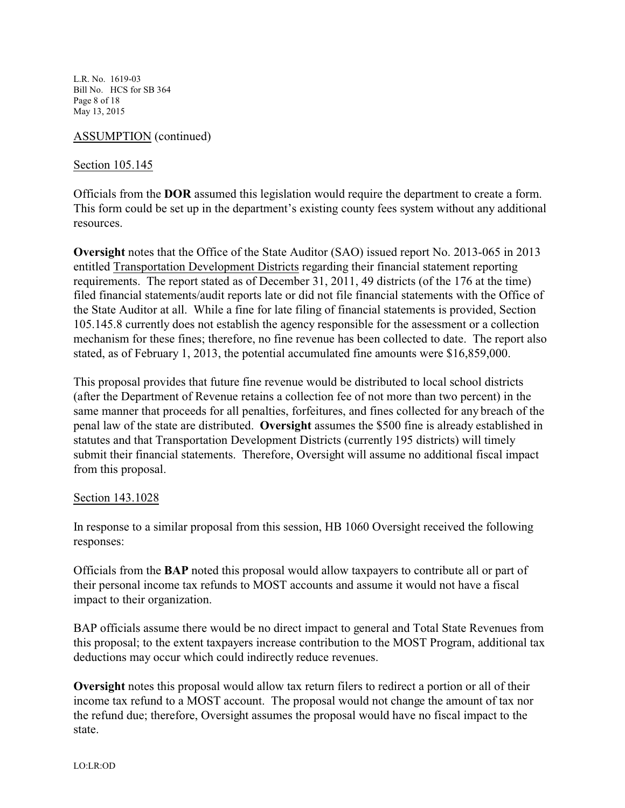L.R. No. 1619-03 Bill No. HCS for SB 364 Page 8 of 18 May 13, 2015

# ASSUMPTION (continued)

# Section 105.145

Officials from the **DOR** assumed this legislation would require the department to create a form. This form could be set up in the department's existing county fees system without any additional resources.

**Oversight** notes that the Office of the State Auditor (SAO) issued report No. 2013-065 in 2013 entitled Transportation Development Districts regarding their financial statement reporting requirements. The report stated as of December 31, 2011, 49 districts (of the 176 at the time) filed financial statements/audit reports late or did not file financial statements with the Office of the State Auditor at all. While a fine for late filing of financial statements is provided, Section 105.145.8 currently does not establish the agency responsible for the assessment or a collection mechanism for these fines; therefore, no fine revenue has been collected to date. The report also stated, as of February 1, 2013, the potential accumulated fine amounts were \$16,859,000.

This proposal provides that future fine revenue would be distributed to local school districts (after the Department of Revenue retains a collection fee of not more than two percent) in the same manner that proceeds for all penalties, forfeitures, and fines collected for any breach of the penal law of the state are distributed. **Oversight** assumes the \$500 fine is already established in statutes and that Transportation Development Districts (currently 195 districts) will timely submit their financial statements. Therefore, Oversight will assume no additional fiscal impact from this proposal.

# Section 143.1028

In response to a similar proposal from this session, HB 1060 Oversight received the following responses:

Officials from the **BAP** noted this proposal would allow taxpayers to contribute all or part of their personal income tax refunds to MOST accounts and assume it would not have a fiscal impact to their organization.

BAP officials assume there would be no direct impact to general and Total State Revenues from this proposal; to the extent taxpayers increase contribution to the MOST Program, additional tax deductions may occur which could indirectly reduce revenues.

**Oversight** notes this proposal would allow tax return filers to redirect a portion or all of their income tax refund to a MOST account. The proposal would not change the amount of tax nor the refund due; therefore, Oversight assumes the proposal would have no fiscal impact to the state.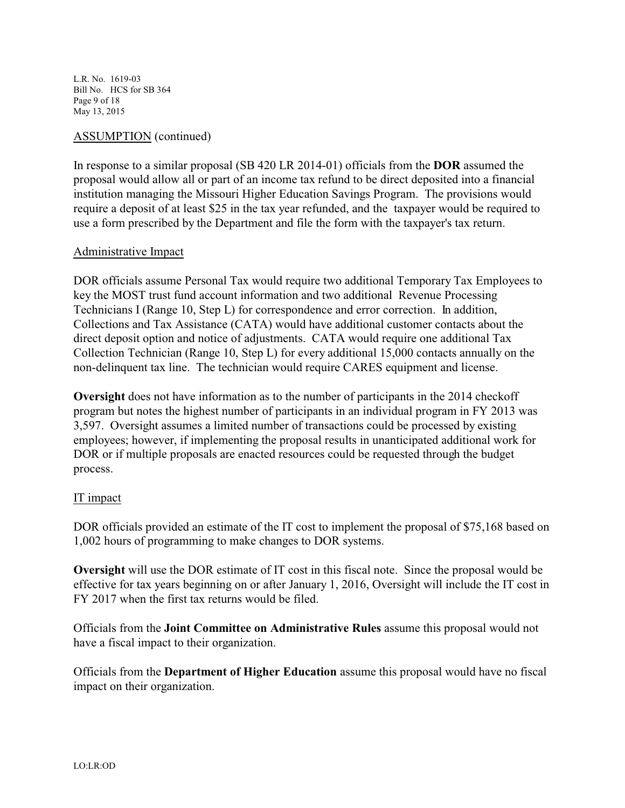L.R. No. 1619-03 Bill No. HCS for SB 364 Page 9 of 18 May 13, 2015

# ASSUMPTION (continued)

In response to a similar proposal (SB 420 LR 2014-01) officials from the **DOR** assumed the proposal would allow all or part of an income tax refund to be direct deposited into a financial institution managing the Missouri Higher Education Savings Program. The provisions would require a deposit of at least \$25 in the tax year refunded, and the taxpayer would be required to use a form prescribed by the Department and file the form with the taxpayer's tax return.

#### Administrative Impact

DOR officials assume Personal Tax would require two additional Temporary Tax Employees to key the MOST trust fund account information and two additional Revenue Processing Technicians I (Range 10, Step L) for correspondence and error correction. In addition, Collections and Tax Assistance (CATA) would have additional customer contacts about the direct deposit option and notice of adjustments. CATA would require one additional Tax Collection Technician (Range 10, Step L) for every additional 15,000 contacts annually on the non-delinquent tax line. The technician would require CARES equipment and license.

**Oversight** does not have information as to the number of participants in the 2014 checkoff program but notes the highest number of participants in an individual program in FY 2013 was 3,597. Oversight assumes a limited number of transactions could be processed by existing employees; however, if implementing the proposal results in unanticipated additional work for DOR or if multiple proposals are enacted resources could be requested through the budget process.

# IT impact

DOR officials provided an estimate of the IT cost to implement the proposal of \$75,168 based on 1,002 hours of programming to make changes to DOR systems.

**Oversight** will use the DOR estimate of IT cost in this fiscal note. Since the proposal would be effective for tax years beginning on or after January 1, 2016, Oversight will include the IT cost in FY 2017 when the first tax returns would be filed.

Officials from the **Joint Committee on Administrative Rules** assume this proposal would not have a fiscal impact to their organization.

Officials from the **Department of Higher Education** assume this proposal would have no fiscal impact on their organization.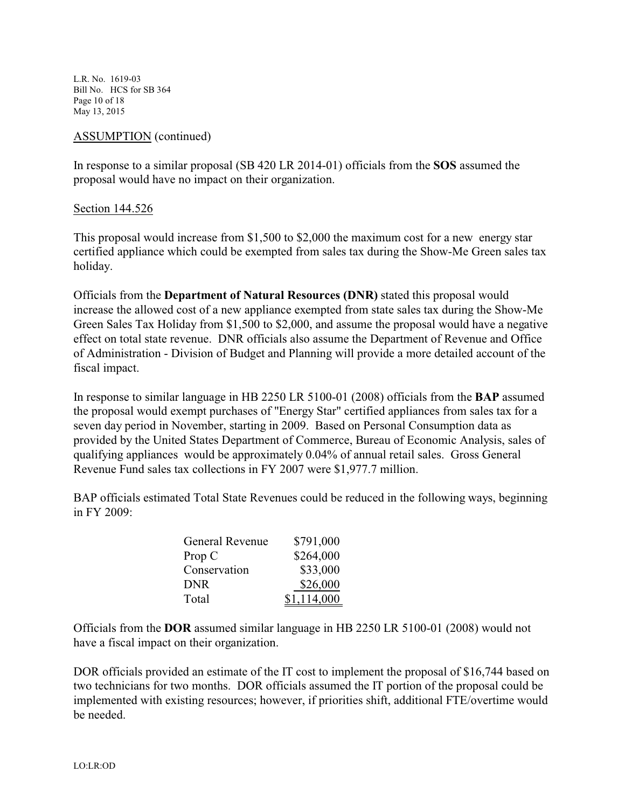L.R. No. 1619-03 Bill No. HCS for SB 364 Page 10 of 18 May 13, 2015

#### ASSUMPTION (continued)

In response to a similar proposal (SB 420 LR 2014-01) officials from the **SOS** assumed the proposal would have no impact on their organization.

Section 144.526

This proposal would increase from \$1,500 to \$2,000 the maximum cost for a new energy star certified appliance which could be exempted from sales tax during the Show-Me Green sales tax holiday.

Officials from the **Department of Natural Resources (DNR)** stated this proposal would increase the allowed cost of a new appliance exempted from state sales tax during the Show-Me Green Sales Tax Holiday from \$1,500 to \$2,000, and assume the proposal would have a negative effect on total state revenue. DNR officials also assume the Department of Revenue and Office of Administration - Division of Budget and Planning will provide a more detailed account of the fiscal impact.

In response to similar language in HB 2250 LR 5100-01 (2008) officials from the **BAP** assumed the proposal would exempt purchases of "Energy Star" certified appliances from sales tax for a seven day period in November, starting in 2009. Based on Personal Consumption data as provided by the United States Department of Commerce, Bureau of Economic Analysis, sales of qualifying appliances would be approximately 0.04% of annual retail sales. Gross General Revenue Fund sales tax collections in FY 2007 were \$1,977.7 million.

BAP officials estimated Total State Revenues could be reduced in the following ways, beginning in FY 2009:

| General Revenue | \$791,000   |
|-----------------|-------------|
| Prop C          | \$264,000   |
| Conservation    | \$33,000    |
| <b>DNR</b>      | \$26,000    |
| Total           | \$1,114,000 |

Officials from the **DOR** assumed similar language in HB 2250 LR 5100-01 (2008) would not have a fiscal impact on their organization.

DOR officials provided an estimate of the IT cost to implement the proposal of \$16,744 based on two technicians for two months. DOR officials assumed the IT portion of the proposal could be implemented with existing resources; however, if priorities shift, additional FTE/overtime would be needed.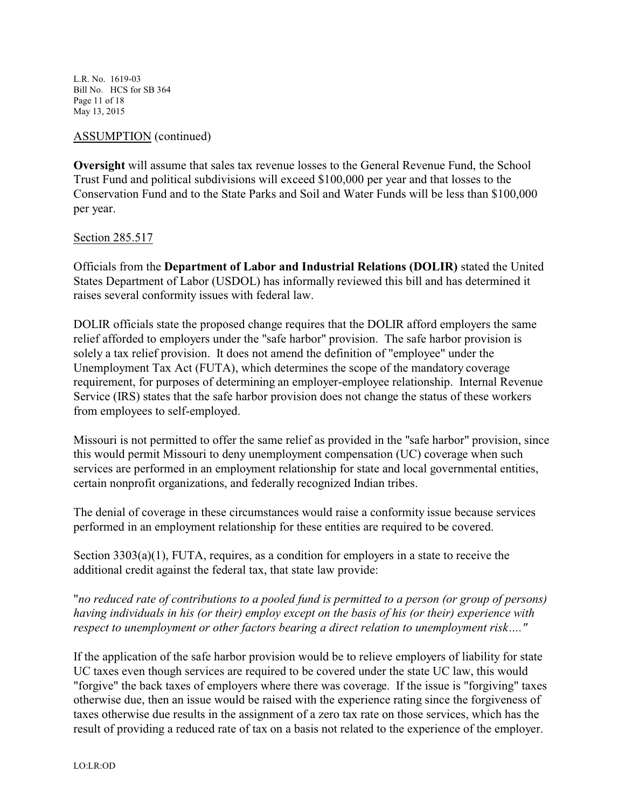L.R. No. 1619-03 Bill No. HCS for SB 364 Page 11 of 18 May 13, 2015

# ASSUMPTION (continued)

**Oversight** will assume that sales tax revenue losses to the General Revenue Fund, the School Trust Fund and political subdivisions will exceed \$100,000 per year and that losses to the Conservation Fund and to the State Parks and Soil and Water Funds will be less than \$100,000 per year.

#### Section 285.517

Officials from the **Department of Labor and Industrial Relations (DOLIR)** stated the United States Department of Labor (USDOL) has informally reviewed this bill and has determined it raises several conformity issues with federal law.

DOLIR officials state the proposed change requires that the DOLIR afford employers the same relief afforded to employers under the "safe harbor" provision. The safe harbor provision is solely a tax relief provision. It does not amend the definition of "employee" under the Unemployment Tax Act (FUTA), which determines the scope of the mandatory coverage requirement, for purposes of determining an employer-employee relationship. Internal Revenue Service (IRS) states that the safe harbor provision does not change the status of these workers from employees to self-employed.

Missouri is not permitted to offer the same relief as provided in the "safe harbor" provision, since this would permit Missouri to deny unemployment compensation (UC) coverage when such services are performed in an employment relationship for state and local governmental entities, certain nonprofit organizations, and federally recognized Indian tribes.

The denial of coverage in these circumstances would raise a conformity issue because services performed in an employment relationship for these entities are required to be covered.

Section 3303(a)(1), FUTA, requires, as a condition for employers in a state to receive the additional credit against the federal tax, that state law provide:

"*no reduced rate of contributions to a pooled fund is permitted to a person (or group of persons) having individuals in his (or their) employ except on the basis of his (or their) experience with respect to unemployment or other factors bearing a direct relation to unemployment risk…."*

If the application of the safe harbor provision would be to relieve employers of liability for state UC taxes even though services are required to be covered under the state UC law, this would "forgive" the back taxes of employers where there was coverage. If the issue is "forgiving" taxes otherwise due, then an issue would be raised with the experience rating since the forgiveness of taxes otherwise due results in the assignment of a zero tax rate on those services, which has the result of providing a reduced rate of tax on a basis not related to the experience of the employer.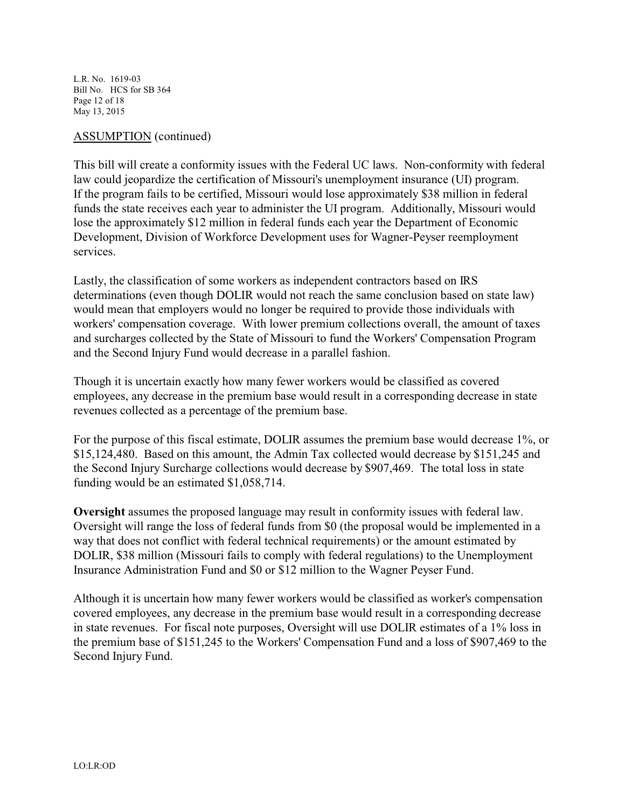L.R. No. 1619-03 Bill No. HCS for SB 364 Page 12 of 18 May 13, 2015

#### ASSUMPTION (continued)

This bill will create a conformity issues with the Federal UC laws. Non-conformity with federal law could jeopardize the certification of Missouri's unemployment insurance (UI) program. If the program fails to be certified, Missouri would lose approximately \$38 million in federal funds the state receives each year to administer the UI program. Additionally, Missouri would lose the approximately \$12 million in federal funds each year the Department of Economic Development, Division of Workforce Development uses for Wagner-Peyser reemployment services.

Lastly, the classification of some workers as independent contractors based on IRS determinations (even though DOLIR would not reach the same conclusion based on state law) would mean that employers would no longer be required to provide those individuals with workers' compensation coverage. With lower premium collections overall, the amount of taxes and surcharges collected by the State of Missouri to fund the Workers' Compensation Program and the Second Injury Fund would decrease in a parallel fashion.

Though it is uncertain exactly how many fewer workers would be classified as covered employees, any decrease in the premium base would result in a corresponding decrease in state revenues collected as a percentage of the premium base.

For the purpose of this fiscal estimate, DOLIR assumes the premium base would decrease 1%, or \$15,124,480. Based on this amount, the Admin Tax collected would decrease by \$151,245 and the Second Injury Surcharge collections would decrease by \$907,469. The total loss in state funding would be an estimated \$1,058,714.

**Oversight** assumes the proposed language may result in conformity issues with federal law. Oversight will range the loss of federal funds from \$0 (the proposal would be implemented in a way that does not conflict with federal technical requirements) or the amount estimated by DOLIR, \$38 million (Missouri fails to comply with federal regulations) to the Unemployment Insurance Administration Fund and \$0 or \$12 million to the Wagner Peyser Fund.

Although it is uncertain how many fewer workers would be classified as worker's compensation covered employees, any decrease in the premium base would result in a corresponding decrease in state revenues. For fiscal note purposes, Oversight will use DOLIR estimates of a 1% loss in the premium base of \$151,245 to the Workers' Compensation Fund and a loss of \$907,469 to the Second Injury Fund.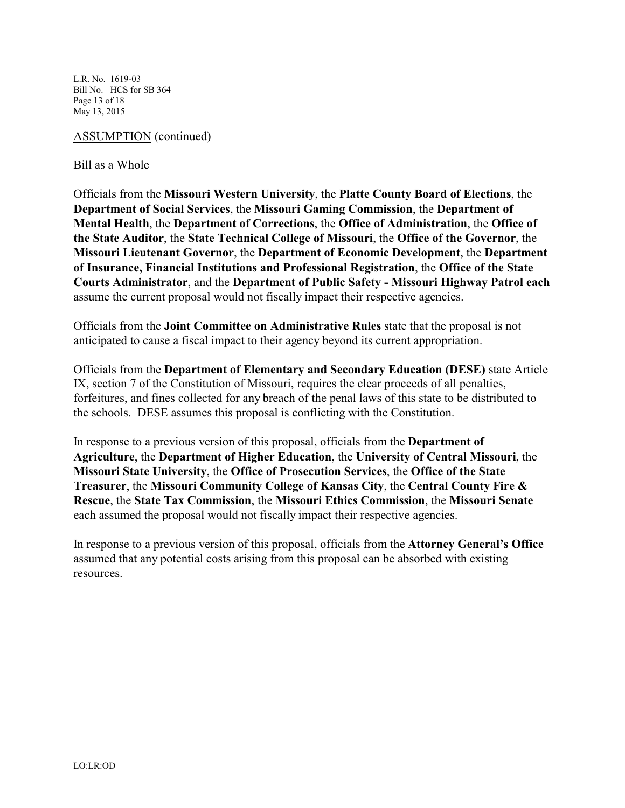L.R. No. 1619-03 Bill No. HCS for SB 364 Page 13 of 18 May 13, 2015

#### ASSUMPTION (continued)

#### Bill as a Whole

Officials from the **Missouri Western University**, the **Platte County Board of Elections**, the **Department of Social Services**, the **Missouri Gaming Commission**, the **Department of Mental Health**, the **Department of Corrections**, the **Office of Administration**, the **Office of the State Auditor**, the **State Technical College of Missouri**, the **Office of the Governor**, the **Missouri Lieutenant Governor**, the **Department of Economic Development**, the **Department of Insurance, Financial Institutions and Professional Registration**, the **Office of the State Courts Administrator**, and the **Department of Public Safety - Missouri Highway Patrol each** assume the current proposal would not fiscally impact their respective agencies.

Officials from the **Joint Committee on Administrative Rules** state that the proposal is not anticipated to cause a fiscal impact to their agency beyond its current appropriation.

Officials from the **Department of Elementary and Secondary Education (DESE)** state Article IX, section 7 of the Constitution of Missouri, requires the clear proceeds of all penalties, forfeitures, and fines collected for any breach of the penal laws of this state to be distributed to the schools. DESE assumes this proposal is conflicting with the Constitution.

In response to a previous version of this proposal, officials from the **Department of Agriculture**, the **Department of Higher Education**, the **University of Central Missouri**, the **Missouri State University**, the **Office of Prosecution Services**, the **Office of the State Treasurer**, the **Missouri Community College of Kansas City**, the **Central County Fire & Rescue**, the **State Tax Commission**, the **Missouri Ethics Commission**, the **Missouri Senate** each assumed the proposal would not fiscally impact their respective agencies.

In response to a previous version of this proposal, officials from the **Attorney General's Office** assumed that any potential costs arising from this proposal can be absorbed with existing resources.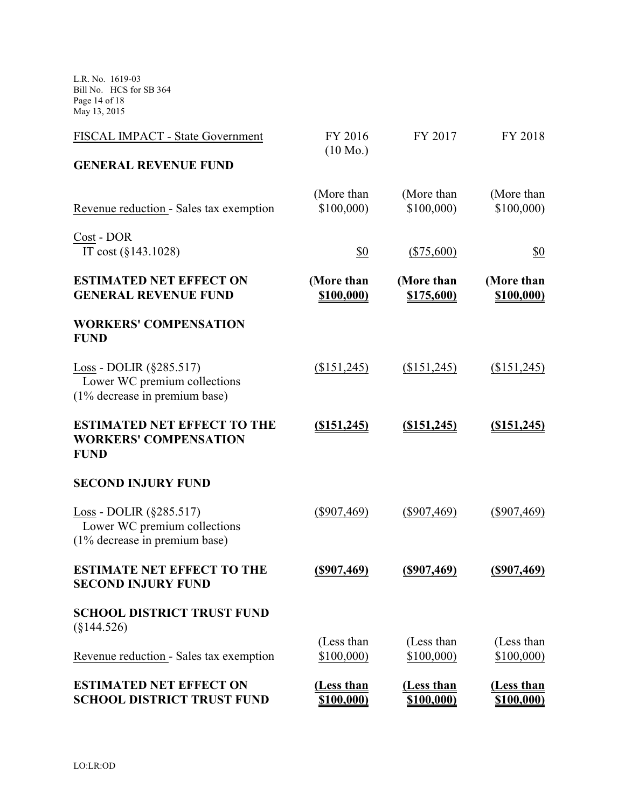L.R. No. 1619-03 Bill No. HCS for SB 364 Page 14 of 18 May 13, 2015

| FISCAL IMPACT - State Government                                                                | FY 2016                         | FY 2017                         | FY 2018                         |
|-------------------------------------------------------------------------------------------------|---------------------------------|---------------------------------|---------------------------------|
| <b>GENERAL REVENUE FUND</b>                                                                     | $(10 \text{ Mo.})$              |                                 |                                 |
| Revenue reduction - Sales tax exemption                                                         | (More than<br>\$100,000         | (More than<br>\$100,000         | (More than<br>\$100,000)        |
| Cost - DOR<br>IT cost $(\S143.1028)$                                                            | \$0                             | $(\$75,600)$                    | \$0                             |
| <b>ESTIMATED NET EFFECT ON</b><br><b>GENERAL REVENUE FUND</b>                                   | (More than<br><u>\$100,000)</u> | (More than<br>\$175,600)        | (More than<br>\$100,000)        |
| <b>WORKERS' COMPENSATION</b><br><b>FUND</b>                                                     |                                 |                                 |                                 |
| Loss - DOLIR $(\S 285.517)$<br>Lower WC premium collections<br>(1% decrease in premium base)    | (\$151,245)                     | (\$151,245)                     | (\$151,245)                     |
| <b>ESTIMATED NET EFFECT TO THE</b><br><b>WORKERS' COMPENSATION</b><br><b>FUND</b>               | $($ \$151,245)                  | $($ \$151,245)                  | (\$151,245)                     |
| <b>SECOND INJURY FUND</b>                                                                       |                                 |                                 |                                 |
| Loss - DOLIR $(\S 285.517)$<br>Lower WC premium collections<br>$(1\%$ decrease in premium base) | $(\$907,469)$                   | $(\$907,469)$                   | $(\$907,469)$                   |
| <b>ESTIMATE NET EFFECT TO THE</b><br><b>SECOND INJURY FUND</b>                                  | <u>(\$907,469)</u>              | <u>(\$907,469)</u>              | $($ \$907,469)                  |
| <b>SCHOOL DISTRICT TRUST FUND</b><br>$(\$144.526)$                                              |                                 |                                 |                                 |
| Revenue reduction - Sales tax exemption                                                         | (Less than<br>\$100,000)        | (Less than<br>\$100,000         | (Less than<br>\$100,000         |
| <b>ESTIMATED NET EFFECT ON</b><br><b>SCHOOL DISTRICT TRUST FUND</b>                             | (Less than<br><u>\$100,000)</u> | (Less than<br><u>\$100,000)</u> | (Less than<br><u>\$100,000)</u> |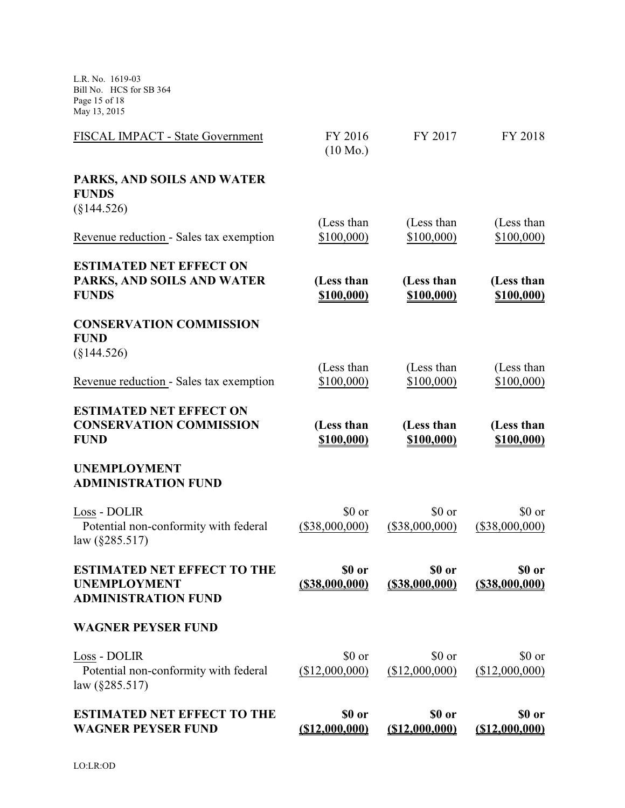L.R. No. 1619-03 Bill No. HCS for SB 364 Page 15 of 18 May 13, 2015

| FISCAL IMPACT - State Government                                                        | FY 2016<br>$(10 \text{ Mo.})$ | FY 2017                     | FY 2018                     |
|-----------------------------------------------------------------------------------------|-------------------------------|-----------------------------|-----------------------------|
| PARKS, AND SOILS AND WATER<br><b>FUNDS</b><br>$(\S144.526)$                             |                               |                             |                             |
|                                                                                         | (Less than                    | (Less than                  | (Less than                  |
| Revenue reduction - Sales tax exemption                                                 | \$100,000                     | \$100,000                   | \$100,000)                  |
| <b>ESTIMATED NET EFFECT ON</b><br>PARKS, AND SOILS AND WATER<br><b>FUNDS</b>            | (Less than<br>\$100,000)      | (Less than<br>\$100,000)    | (Less than<br>\$100,000)    |
| <b>CONSERVATION COMMISSION</b><br><b>FUND</b>                                           |                               |                             |                             |
| $(\$144.526)$                                                                           | (Less than                    | (Less than                  | (Less than                  |
| Revenue reduction - Sales tax exemption                                                 | \$100,000                     | \$100,000)                  | \$100,000                   |
| <b>ESTIMATED NET EFFECT ON</b><br><b>CONSERVATION COMMISSION</b><br><b>FUND</b>         | (Less than<br>\$100,000)      | (Less than<br>\$100,000)    | (Less than<br>\$100,000)    |
| <b>UNEMPLOYMENT</b><br><b>ADMINISTRATION FUND</b>                                       |                               |                             |                             |
| Loss - DOLIR<br>Potential non-conformity with federal<br>law $(\S 285.517)$             | \$0 or<br>$(\$38,000,000)$    | \$0 or<br>$(\$38,000,000)$  | \$0 or<br>$(\$38,000,000)$  |
| <b>ESTIMATED NET EFFECT TO THE</b><br><b>UNEMPLOYMENT</b><br><b>ADMINISTRATION FUND</b> | \$0 or<br>$($ \$38,000,000)   | \$0 or<br>$($ \$38,000,000) | \$0 or<br>$($ \$38,000,000) |
| <b>WAGNER PEYSER FUND</b>                                                               |                               |                             |                             |
| Loss - DOLIR<br>Potential non-conformity with federal<br>law (§285.517)                 | \$0 or<br>(\$12,000,000)      | \$0 or<br>(\$12,000,000)    | \$0 or<br>(\$12,000,000)    |
| <b>ESTIMATED NET EFFECT TO THE</b><br><b>WAGNER PEYSER FUND</b>                         | \$0 or<br>( \$12,000,000)     | \$0 or<br>( \$12,000,000)   | \$0 or<br>( \$12,000,000)   |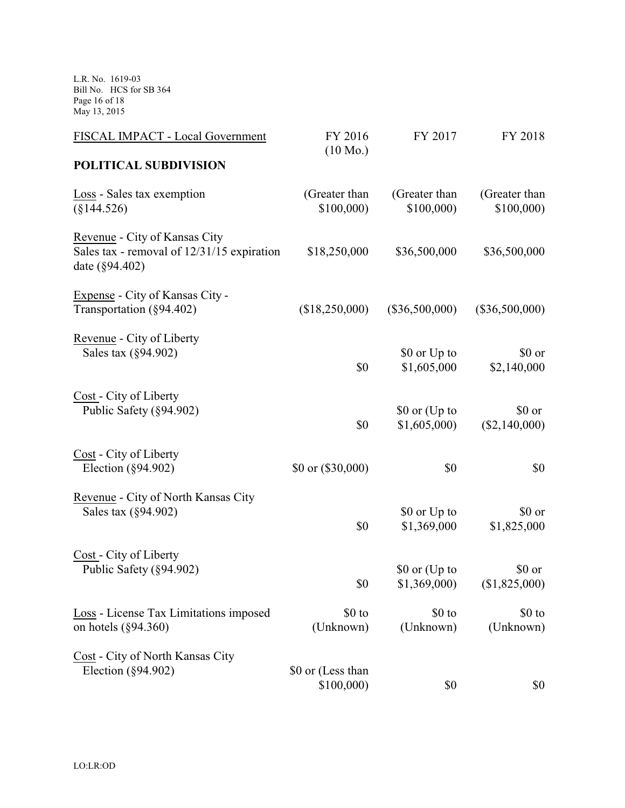L.R. No. 1619-03 Bill No. HCS for SB 364 Page 16 of 18 May 13, 2015

| FISCAL IMPACT - Local Government                                                              | FY 2016<br>$(10 \text{ Mo.})$  | FY 2017          | FY 2018          |
|-----------------------------------------------------------------------------------------------|--------------------------------|------------------|------------------|
| POLITICAL SUBDIVISION                                                                         |                                |                  |                  |
| Loss - Sales tax exemption                                                                    | (Greater than                  | (Greater than    | (Greater than    |
| $(\S144.526)$                                                                                 | \$100,000                      | \$100,000        | \$100,000        |
| Revenue - City of Kansas City<br>Sales tax - removal of 12/31/15 expiration<br>date (§94.402) | \$18,250,000                   | \$36,500,000     | \$36,500,000     |
| Expense - City of Kansas City -<br>Transportation (§94.402)                                   | (\$18,250,000)                 | $(\$36,500,000)$ | $(\$36,500,000)$ |
| Revenue - City of Liberty                                                                     | \$0                            | \$0 or Up to     | \$0 or           |
| Sales tax (§94.902)                                                                           |                                | \$1,605,000      | \$2,140,000      |
| Cost - City of Liberty                                                                        | \$0                            | \$0 or (Up to    | \$0 or           |
| Public Safety (§94.902)                                                                       |                                | \$1,605,000      | (\$2,140,000)    |
| Cost - City of Liberty<br>Election $(\S 94.902)$                                              | \$0 or $(\$30,000)$            | \$0              | \$0              |
| Revenue - City of North Kansas City                                                           | \$0                            | \$0 or Up to     | \$0 or           |
| Sales tax (§94.902)                                                                           |                                | \$1,369,000      | \$1,825,000      |
| Cost - City of Liberty                                                                        | \$0                            | \$0 or (Up to    | \$0 or           |
| Public Safety (§94.902)                                                                       |                                | \$1,369,000      | (\$1,825,000)    |
| Loss - License Tax Limitations imposed                                                        | \$0 to                         | \$0 to           | $$0$ to          |
| on hotels $(\S 94.360)$                                                                       | (Unknown)                      | (Unknown)        | (Unknown)        |
| Cost - City of North Kansas City<br>Election $(\S 94.902)$                                    | \$0 or (Less than<br>\$100,000 | \$0              | \$0              |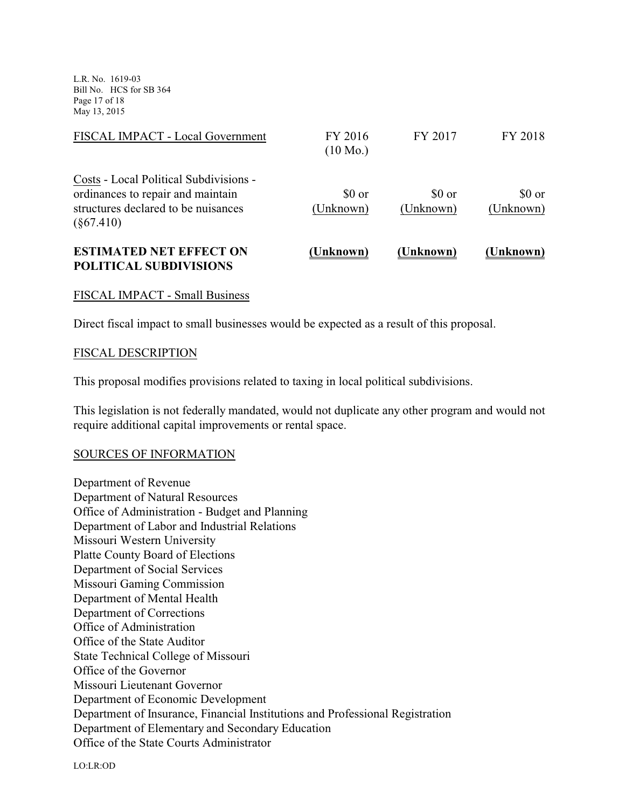L.R. No. 1619-03 Bill No. HCS for SB 364 Page 17 of 18 May 13, 2015

| (Unknown)                     | (Unknown)           | (Unknown)           |
|-------------------------------|---------------------|---------------------|
| \$0 or<br>(Unknown)           | \$0 or<br>(Unknown) | \$0 or<br>(Unknown) |
| FY 2016<br>$(10 \text{ Mo.})$ | FY 2017             | FY 2018             |
|                               |                     |                     |

# FISCAL IMPACT - Small Business

Direct fiscal impact to small businesses would be expected as a result of this proposal.

#### FISCAL DESCRIPTION

This proposal modifies provisions related to taxing in local political subdivisions.

This legislation is not federally mandated, would not duplicate any other program and would not require additional capital improvements or rental space.

#### SOURCES OF INFORMATION

Department of Revenue Department of Natural Resources Office of Administration - Budget and Planning Department of Labor and Industrial Relations Missouri Western University Platte County Board of Elections Department of Social Services Missouri Gaming Commission Department of Mental Health Department of Corrections Office of Administration Office of the State Auditor State Technical College of Missouri Office of the Governor Missouri Lieutenant Governor Department of Economic Development Department of Insurance, Financial Institutions and Professional Registration Department of Elementary and Secondary Education Office of the State Courts Administrator